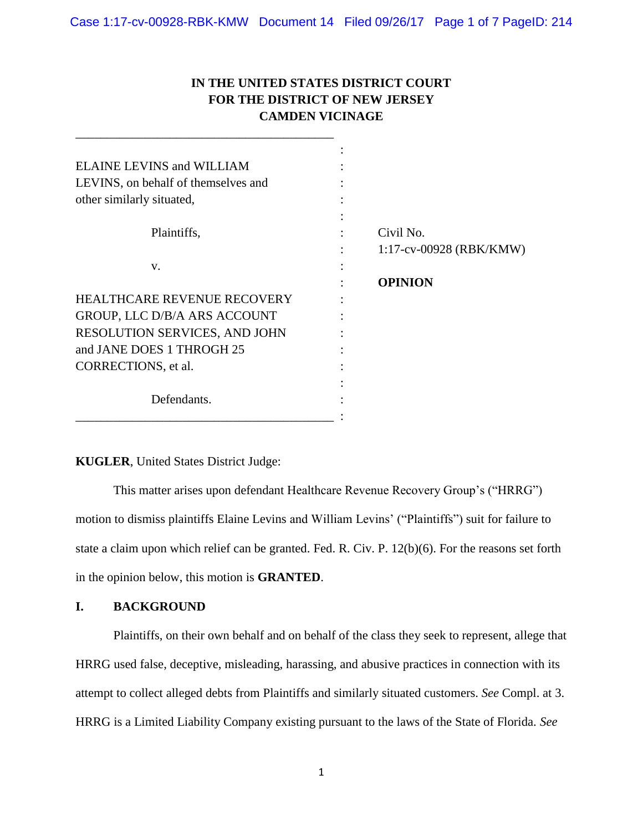# **IN THE UNITED STATES DISTRICT COURT FOR THE DISTRICT OF NEW JERSEY CAMDEN VICINAGE**

| <b>ELAINE LEVINS and WILLIAM</b>    |                            |
|-------------------------------------|----------------------------|
| LEVINS, on behalf of themselves and |                            |
| other similarly situated,           |                            |
|                                     |                            |
| Plaintiffs,                         | Civil No.                  |
|                                     | $1:17$ -cv-00928 (RBK/KMW) |
| V.                                  |                            |
|                                     | <b>OPINION</b>             |
| <b>HEALTHCARE REVENUE RECOVERY</b>  |                            |
| GROUP, LLC D/B/A ARS ACCOUNT        |                            |
| RESOLUTION SERVICES, AND JOHN       |                            |
| and JANE DOES 1 THROGH 25           |                            |
| CORRECTIONS, et al.                 |                            |
|                                     |                            |
| Defendants.                         |                            |
|                                     |                            |

## **KUGLER**, United States District Judge:

\_\_\_\_\_\_\_\_\_\_\_\_\_\_\_\_\_\_\_\_\_\_\_\_\_\_\_\_\_\_\_\_\_\_\_\_\_\_\_\_\_

This matter arises upon defendant Healthcare Revenue Recovery Group's ("HRRG") motion to dismiss plaintiffs Elaine Levins and William Levins' ("Plaintiffs") suit for failure to state a claim upon which relief can be granted. Fed. R. Civ. P. 12(b)(6). For the reasons set forth in the opinion below, this motion is **GRANTED**.

### **I. BACKGROUND**

Plaintiffs, on their own behalf and on behalf of the class they seek to represent, allege that HRRG used false, deceptive, misleading, harassing, and abusive practices in connection with its attempt to collect alleged debts from Plaintiffs and similarly situated customers. *See* Compl. at 3. HRRG is a Limited Liability Company existing pursuant to the laws of the State of Florida. *See*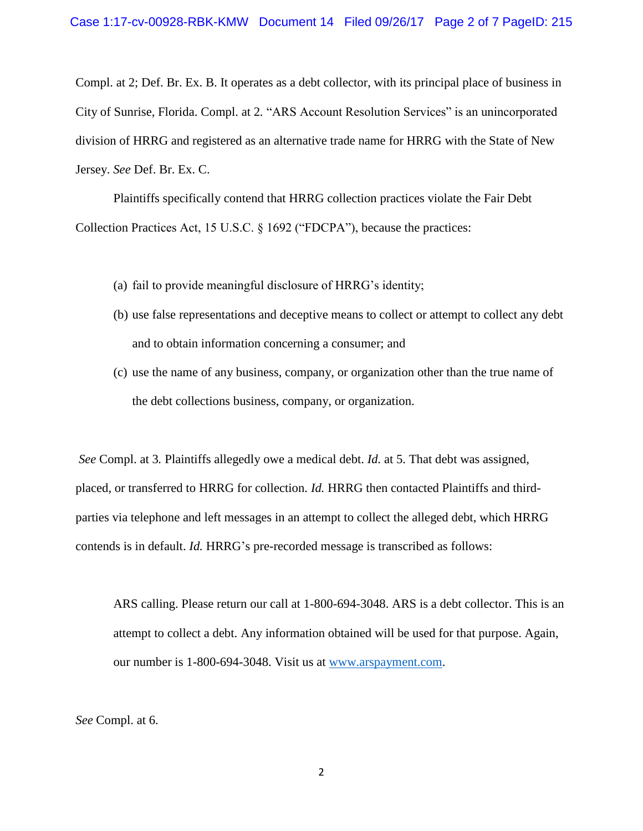Compl. at 2; Def. Br. Ex. B. It operates as a debt collector, with its principal place of business in City of Sunrise, Florida. Compl. at 2*.* "ARS Account Resolution Services" is an unincorporated division of HRRG and registered as an alternative trade name for HRRG with the State of New Jersey. *See* Def. Br. Ex. C.

Plaintiffs specifically contend that HRRG collection practices violate the Fair Debt Collection Practices Act, 15 U.S.C. § 1692 ("FDCPA"), because the practices:

- (a) fail to provide meaningful disclosure of HRRG's identity;
- (b) use false representations and deceptive means to collect or attempt to collect any debt and to obtain information concerning a consumer; and
- (c) use the name of any business, company, or organization other than the true name of the debt collections business, company, or organization.

*See* Compl. at 3*.* Plaintiffs allegedly owe a medical debt. *Id.* at 5. That debt was assigned, placed, or transferred to HRRG for collection. *Id.* HRRG then contacted Plaintiffs and thirdparties via telephone and left messages in an attempt to collect the alleged debt, which HRRG contends is in default. *Id.* HRRG's pre-recorded message is transcribed as follows:

ARS calling. Please return our call at 1-800-694-3048. ARS is a debt collector. This is an attempt to collect a debt. Any information obtained will be used for that purpose. Again, our number is 1-800-694-3048. Visit us at <u>www.arspayment.com</u>.

*See* Compl. at 6.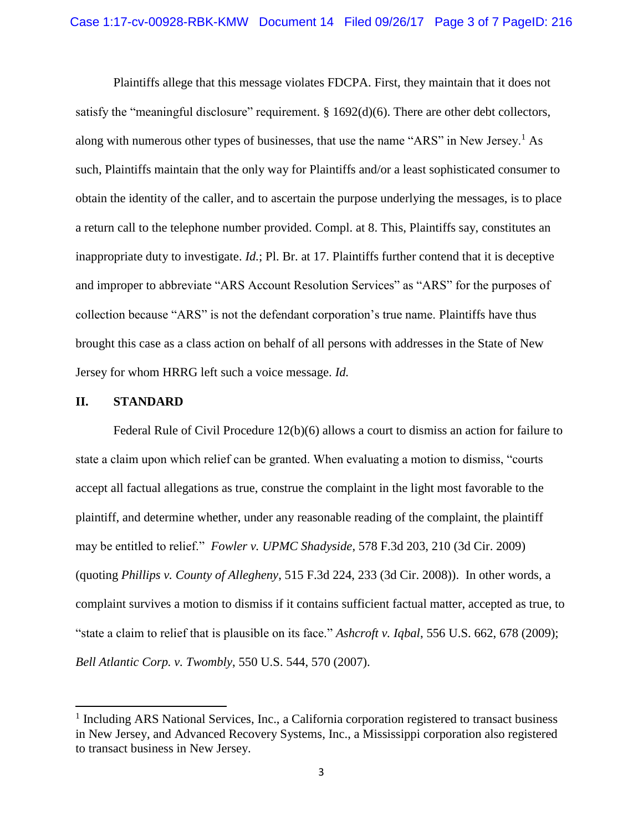Plaintiffs allege that this message violates FDCPA. First, they maintain that it does not satisfy the "meaningful disclosure" requirement. § 1692(d)(6). There are other debt collectors, along with numerous other types of businesses, that use the name "ARS" in New Jersey.<sup>1</sup> As such, Plaintiffs maintain that the only way for Plaintiffs and/or a least sophisticated consumer to obtain the identity of the caller, and to ascertain the purpose underlying the messages, is to place a return call to the telephone number provided. Compl. at 8. This, Plaintiffs say, constitutes an inappropriate duty to investigate. *Id.*; Pl. Br. at 17. Plaintiffs further contend that it is deceptive and improper to abbreviate "ARS Account Resolution Services" as "ARS" for the purposes of collection because "ARS" is not the defendant corporation's true name. Plaintiffs have thus brought this case as a class action on behalf of all persons with addresses in the State of New Jersey for whom HRRG left such a voice message. *Id.*

#### **II. STANDARD**

 $\overline{\phantom{a}}$ 

Federal Rule of Civil Procedure 12(b)(6) allows a court to dismiss an action for failure to state a claim upon which relief can be granted. When evaluating a motion to dismiss, "courts accept all factual allegations as true, construe the complaint in the light most favorable to the plaintiff, and determine whether, under any reasonable reading of the complaint, the plaintiff may be entitled to relief." *Fowler v. UPMC Shadyside*, 578 F.3d 203, 210 (3d Cir. 2009) (quoting *Phillips v. County of Allegheny*, 515 F.3d 224, 233 (3d Cir. 2008)). In other words, a complaint survives a motion to dismiss if it contains sufficient factual matter, accepted as true, to "state a claim to relief that is plausible on its face." *Ashcroft v. Iqbal*, 556 U.S. 662, 678 (2009); *Bell Atlantic Corp. v. Twombly*, 550 U.S. 544, 570 (2007).

<sup>&</sup>lt;sup>1</sup> Including ARS National Services, Inc., a California corporation registered to transact business in New Jersey, and Advanced Recovery Systems, Inc., a Mississippi corporation also registered to transact business in New Jersey.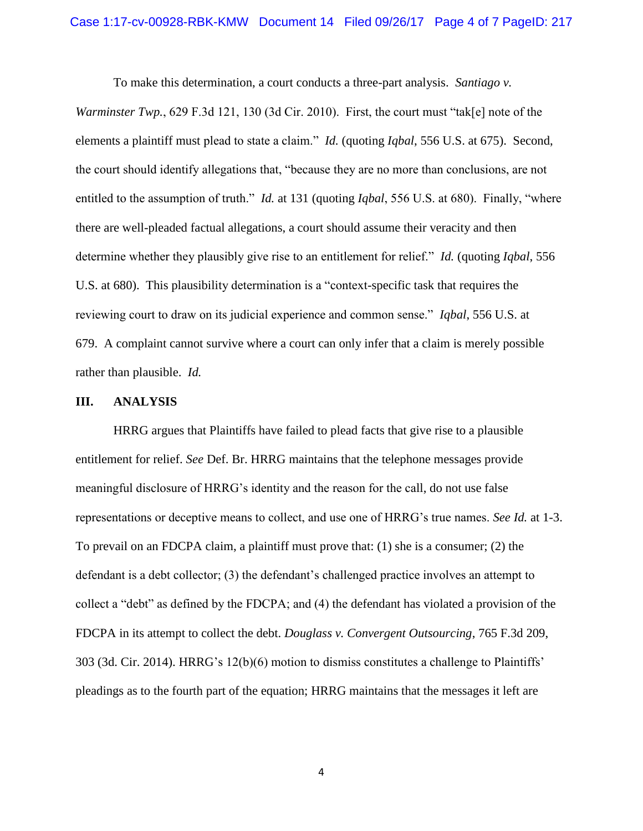To make this determination, a court conducts a three-part analysis. *Santiago v.* 

*Warminster Twp.*, 629 F.3d 121, 130 (3d Cir. 2010). First, the court must "tak[e] note of the elements a plaintiff must plead to state a claim." *Id.* (quoting *Iqbal*, 556 U.S. at 675). Second, the court should identify allegations that, "because they are no more than conclusions, are not entitled to the assumption of truth." *Id.* at 131 (quoting *Iqbal*, 556 U.S. at 680). Finally, "where there are well-pleaded factual allegations, a court should assume their veracity and then determine whether they plausibly give rise to an entitlement for relief." *Id.* (quoting *Iqbal*, 556 U.S. at 680). This plausibility determination is a "context-specific task that requires the reviewing court to draw on its judicial experience and common sense." *Iqbal*, 556 U.S. at 679. A complaint cannot survive where a court can only infer that a claim is merely possible rather than plausible. *Id.*

#### **III. ANALYSIS**

HRRG argues that Plaintiffs have failed to plead facts that give rise to a plausible entitlement for relief. *See* Def. Br. HRRG maintains that the telephone messages provide meaningful disclosure of HRRG's identity and the reason for the call, do not use false representations or deceptive means to collect, and use one of HRRG's true names. *See Id.* at 1-3. To prevail on an FDCPA claim, a plaintiff must prove that: (1) she is a consumer; (2) the defendant is a debt collector; (3) the defendant's challenged practice involves an attempt to collect a "debt" as defined by the FDCPA; and (4) the defendant has violated a provision of the FDCPA in its attempt to collect the debt. *Douglass v. Convergent Outsourcing*, 765 F.3d 209, 303 (3d. Cir. 2014). HRRG's 12(b)(6) motion to dismiss constitutes a challenge to Plaintiffs' pleadings as to the fourth part of the equation; HRRG maintains that the messages it left are

4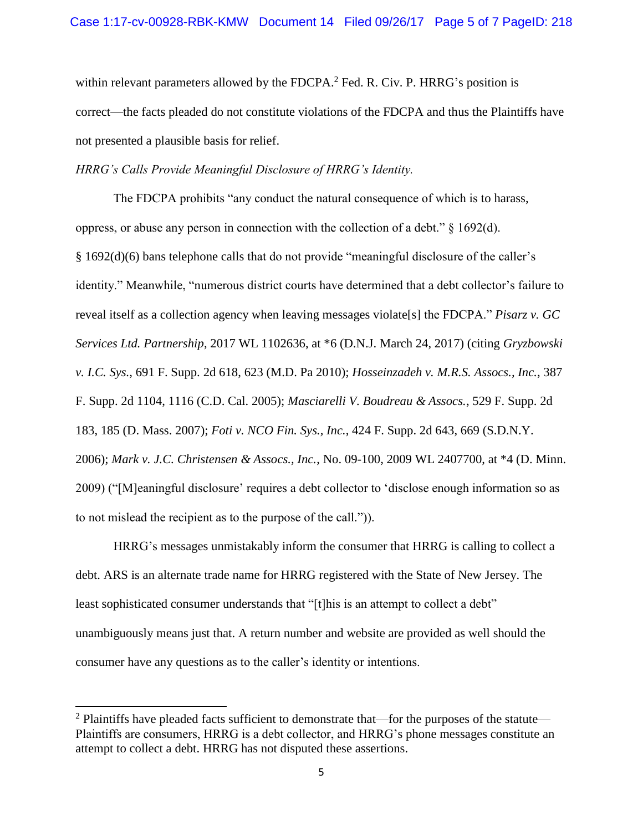within relevant parameters allowed by the FDCPA.<sup>2</sup> Fed. R. Civ. P. HRRG's position is correct—the facts pleaded do not constitute violations of the FDCPA and thus the Plaintiffs have not presented a plausible basis for relief.

### *HRRG's Calls Provide Meaningful Disclosure of HRRG's Identity.*

The FDCPA prohibits "any conduct the natural consequence of which is to harass, oppress, or abuse any person in connection with the collection of a debt." § 1692(d). § 1692(d)(6) bans telephone calls that do not provide "meaningful disclosure of the caller's identity." Meanwhile, "numerous district courts have determined that a debt collector's failure to reveal itself as a collection agency when leaving messages violate[s] the FDCPA." *Pisarz v. GC Services Ltd. Partnership*, 2017 WL 1102636, at \*6 (D.N.J. March 24, 2017) (citing *Gryzbowski v. I.C. Sys.*, 691 F. Supp. 2d 618, 623 (M.D. Pa 2010); *Hosseinzadeh v. M.R.S. Assocs., Inc.*, 387 F. Supp. 2d 1104, 1116 (C.D. Cal. 2005); *Masciarelli V. Boudreau & Assocs.*, 529 F. Supp. 2d 183, 185 (D. Mass. 2007); *Foti v. NCO Fin. Sys., Inc.*, 424 F. Supp. 2d 643, 669 (S.D.N.Y. 2006); *Mark v. J.C. Christensen & Assocs., Inc.*, No. 09-100, 2009 WL 2407700, at \*4 (D. Minn. 2009) ("[M]eaningful disclosure' requires a debt collector to 'disclose enough information so as to not mislead the recipient as to the purpose of the call.")).

HRRG's messages unmistakably inform the consumer that HRRG is calling to collect a debt. ARS is an alternate trade name for HRRG registered with the State of New Jersey. The least sophisticated consumer understands that "[t]his is an attempt to collect a debt" unambiguously means just that. A return number and website are provided as well should the consumer have any questions as to the caller's identity or intentions.

 $\overline{\phantom{a}}$ 

 $2$  Plaintiffs have pleaded facts sufficient to demonstrate that—for the purposes of the statute— Plaintiffs are consumers, HRRG is a debt collector, and HRRG's phone messages constitute an attempt to collect a debt. HRRG has not disputed these assertions.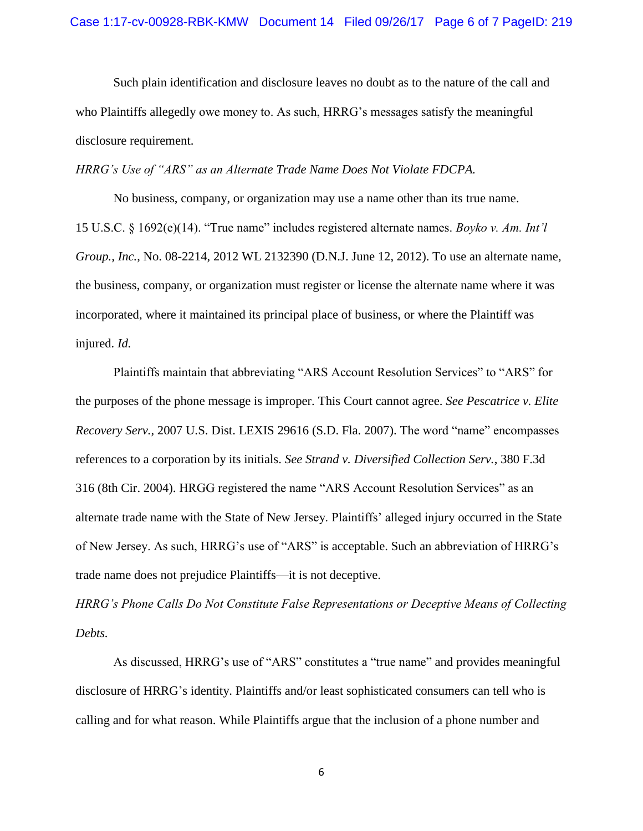Such plain identification and disclosure leaves no doubt as to the nature of the call and who Plaintiffs allegedly owe money to. As such, HRRG's messages satisfy the meaningful disclosure requirement.

*HRRG's Use of "ARS" as an Alternate Trade Name Does Not Violate FDCPA.*

No business, company, or organization may use a name other than its true name. 15 U.S.C. § 1692(e)(14). "True name" includes registered alternate names. *Boyko v. Am. Int'l Group., Inc.*, No. 08-2214, 2012 WL 2132390 (D.N.J. June 12, 2012). To use an alternate name, the business, company, or organization must register or license the alternate name where it was incorporated, where it maintained its principal place of business, or where the Plaintiff was injured. *Id.*

Plaintiffs maintain that abbreviating "ARS Account Resolution Services" to "ARS" for the purposes of the phone message is improper. This Court cannot agree. *See Pescatrice v. Elite Recovery Serv.*, 2007 U.S. Dist. LEXIS 29616 (S.D. Fla. 2007). The word "name" encompasses references to a corporation by its initials. *See Strand v. Diversified Collection Serv.*, 380 F.3d 316 (8th Cir. 2004). HRGG registered the name "ARS Account Resolution Services" as an alternate trade name with the State of New Jersey. Plaintiffs' alleged injury occurred in the State of New Jersey. As such, HRRG's use of "ARS" is acceptable. Such an abbreviation of HRRG's trade name does not prejudice Plaintiffs—it is not deceptive.

*HRRG's Phone Calls Do Not Constitute False Representations or Deceptive Means of Collecting Debts.*

As discussed, HRRG's use of "ARS" constitutes a "true name" and provides meaningful disclosure of HRRG's identity. Plaintiffs and/or least sophisticated consumers can tell who is calling and for what reason. While Plaintiffs argue that the inclusion of a phone number and